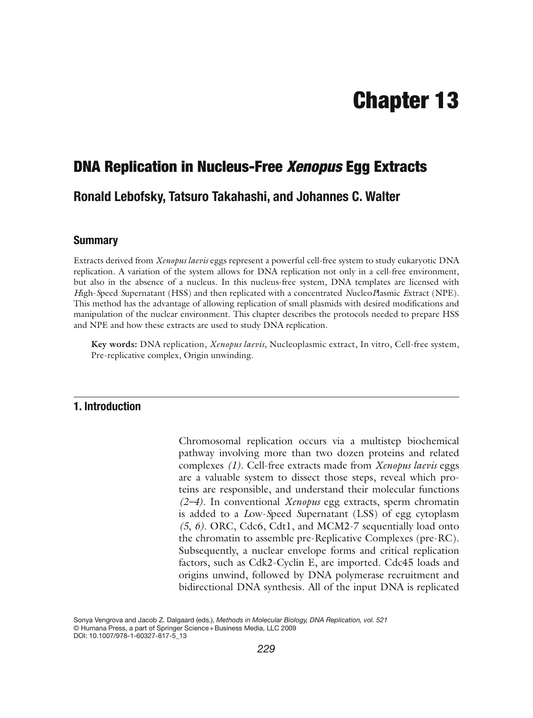# **Chapter 13**

## **DNA Replication in Nucleus-Free** *Xenopus* **Egg Extracts**

## **Ronald Lebofsky, Tatsuro Takahashi, and Johannes C. Walter**

#### **Summary**

Extracts derived from *Xenopus laevis* eggs represent a powerful cell-free system to study eukaryotic DNA replication. A variation of the system allows for DNA replication not only in a cell-free environment, but also in the absence of a nucleus. In this nucleus-free system, DNA templates are licensed with *H*igh- *S*peed *S*upernatant (HSS) and then replicated with a concentrated *N*ucleo *P*lasmic *E*xtract (NPE). This method has the advantage of allowing replication of small plasmids with desired modifications and manipulation of the nuclear environment. This chapter describes the protocols needed to prepare HSS and NPE and how these extracts are used to study DNA replication.

Key words: DNA replication, *Xenopus laevis*, Nucleoplasmic extract, In vitro, Cell-free system, Pre-replicative complex, Origin unwinding.

#### **1. Introduction**

Chromosomal replication occurs via a multistep biochemical pathway involving more than two dozen proteins and related complexes *(1)*. Cell-free extracts made from *Xenopus laevis* eggs are a valuable system to dissect those steps, reveal which proteins are responsible, and understand their molecular functions *(2–4)*. In conventional *Xenopus* egg extracts, sperm chromatin is added to a *L*ow- *S*peed *S*upernatant (LSS) of egg cytoplasm *(5*, *6)*. ORC, Cdc6, Cdt1, and MCM2-7 sequentially load onto the chromatin to assemble pre-Replicative Complexes (pre-RC). Subsequently, a nuclear envelope forms and critical replication factors, such as Cdk2-Cyclin E, are imported. Cdc45 loads and origins unwind, followed by DNA polymerase recruitment and bidirectional DNA synthesis. All of the input DNA is replicated

Sonya Vengrova and Jacob Z. Dalgaard (eds.), *Methods in Molecular Biology, DNA Replication, vol. 521* © Humana Press, a part of Springer Science + Business Media, LLC 2009 DOI: 10.1007/978-1-60327-817-5\_13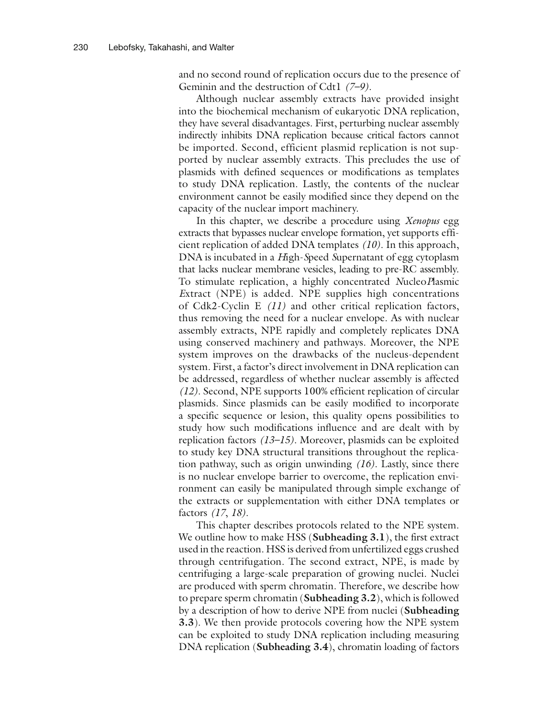and no second round of replication occurs due to the presence of Geminin and the destruction of Cdt1 *(7–9)*.

Although nuclear assembly extracts have provided insight into the biochemical mechanism of eukaryotic DNA replication, they have several disadvantages. First, perturbing nuclear assembly indirectly inhibits DNA replication because critical factors cannot be imported. Second, efficient plasmid replication is not supported by nuclear assembly extracts. This precludes the use of plasmids with defined sequences or modifications as templates to study DNA replication. Lastly, the contents of the nuclear environment cannot be easily modified since they depend on the capacity of the nuclear import machinery.

In this chapter, we describe a procedure using *Xenopus* egg extracts that bypasses nuclear envelope formation, yet supports efficient replication of added DNA templates *(10)*. In this approach, DNA is incubated in a *H*igh- *S*peed *S*upernatant of egg cytoplasm that lacks nuclear membrane vesicles, leading to pre-RC assembly. To stimulate replication, a highly concentrated *N*ucleo *P*lasmic *E*xtract (NPE) is added. NPE supplies high concentrations of Cdk2-Cyclin E *(11)* and other critical replication factors, thus removing the need for a nuclear envelope. As with nuclear assembly extracts, NPE rapidly and completely replicates DNA using conserved machinery and pathways. Moreover, the NPE system improves on the drawbacks of the nucleus-dependent system. First, a factor's direct involvement in DNA replication can be addressed, regardless of whether nuclear assembly is affected *(12)*. Second, NPE supports 100% efficient replication of circular plasmids. Since plasmids can be easily modified to incorporate a specific sequence or lesion, this quality opens possibilities to study how such modifications influence and are dealt with by replication factors *(13–15)*. Moreover, plasmids can be exploited to study key DNA structural transitions throughout the replication pathway, such as origin unwinding *(16)*. Lastly, since there is no nuclear envelope barrier to overcome, the replication environment can easily be manipulated through simple exchange of the extracts or supplementation with either DNA templates or factors *(17*, *18)*.

This chapter describes protocols related to the NPE system. We outline how to make HSS ( **Subheading 3.1**), the first extract used in the reaction. HSS is derived from unfertilized eggs crushed through centrifugation. The second extract, NPE, is made by centrifuging a large-scale preparation of growing nuclei. Nuclei are produced with sperm chromatin. Therefore, we describe how to prepare sperm chromatin ( **Subheading 3.2**), which is followed by a description of how to derive NPE from nuclei ( **Subheading 3.3**). We then provide protocols covering how the NPE system can be exploited to study DNA replication including measuring DNA replication ( **Subheading 3.4**), chromatin loading of factors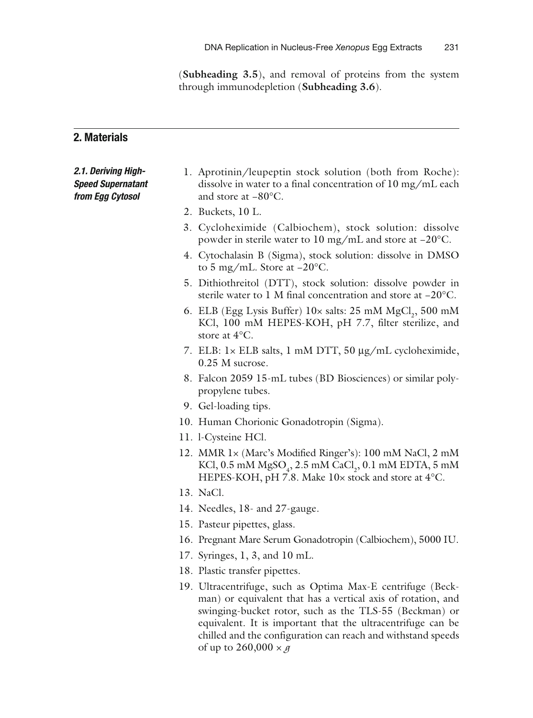( **Subheading 3.5**), and removal of proteins from the system through immunodepletion ( **Subheading 3.6**).

#### **2. Materials**

#### *2.1. Deriving High-Speed Supernatant from Egg Cytosol*

- 1. Aprotinin/leupeptin stock solution (both from Roche): dissolve in water to a final concentration of 10 mg/mL each and store at −80°C.
- 2. Buckets, 10 L.
- 3. Cycloheximide (Calbiochem), stock solution: dissolve powder in sterile water to 10 mg/mL and store at −20°C.
- 4. Cytochalasin B (Sigma), stock solution: dissolve in DMSO to 5 mg/mL. Store at −20°C.
- 5. Dithiothreitol (DTT), stock solution: dissolve powder in sterile water to 1 M final concentration and store at −20°C.
- 6. ELB (Egg Lysis Buffer)  $10 \times$  salts: 25 mM  $MgCl_2$ , 500 mM KCl, 100 mM HEPES-KOH, pH 7.7, filter sterilize, and store at 4°C.
- 7. ELB: 1× ELB salts, 1 mM DTT, 50 μg/mL cycloheximide, 0.25 M sucrose.
- 8. Falcon 2059 15-mL tubes (BD Biosciences) or similar polypropylene tubes.
- 9. Gel-loading tips.
- 10. Human Chorionic Gonadotropin (Sigma).
- 11. 1-Cysteine HCl.
- 12. MMR 1× (Marc's Modified Ringer's): 100 mM NaCl, 2 mM KCl, 0.5 mM  $MgSO_4$ , 2.5 mM  $CaCl_2$ , 0.1 mM EDTA, 5 mM HEPES-KOH, pH 7.8. Make 10x stock and store at 4°C.
- 13. NaCl.
- 14. Needles, 18- and 27-gauge.
- 15. Pasteur pipettes, glass.
- 16. Pregnant Mare Serum Gonadotropin (Calbiochem), 5000 IU.
- 17. Syringes, 1, 3, and 10 mL.
- 18. Plastic transfer pipettes.
- 19. Ultracentrifuge, such as Optima Max-E centrifuge (Beckman) or equivalent that has a vertical axis of rotation, and swinging-bucket rotor, such as the TLS-55 (Beckman) or equivalent. It is important that the ultracentrifuge can be chilled and the configuration can reach and withstand speeds of up to 260,000 × *g*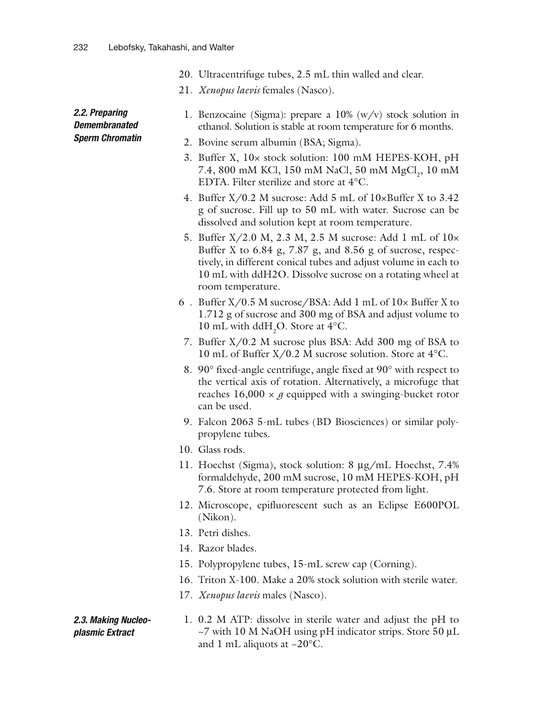- 20. Ultracentrifuge tubes, 2.5 mL thin walled and clear.
- 21. *Xenopus laevis* females (Nasco).

#### *2.2. Preparing Demembranated Sperm Chromatin*

- 1. Benzocaine (Sigma): prepare a  $10\%$  (w/v) stock solution in ethanol. Solution is stable at room temperature for 6 months.
- 2. Bovine serum albumin (BSA; Sigma).
- 3. Buffer X, 10× stock solution: 100 mM HEPES-KOH, pH 7.4, 800 mM KCl, 150 mM NaCl, 50 mM MgCl<sub>2</sub>, 10 mM EDTA. Filter sterilize and store at 4°C.
- 4. Buffer X/0.2 M sucrose: Add 5 mL of 10×Buffer X to 3.42 g of sucrose. Fill up to 50 mL with water. Sucrose can be dissolved and solution kept at room temperature.
- 5. Buffer X/2.0 M, 2.3 M, 2.5 M sucrose: Add 1 mL of 10× Buffer X to 6.84 g, 7.87 g, and 8.56 g of sucrose, respectively, in different conical tubes and adjust volume in each to 10 mL with ddH2O. Dissolve sucrose on a rotating wheel at room temperature.
- 6 . Buffer X/0.5 M sucrose/BSA: Add 1 mL of 10× Buffer X to 1.712 g of sucrose and 300 mg of BSA and adjust volume to 10 mL with  $ddH_2O$ . Store at 4°C.
- 7. Buffer X/0.2 M sucrose plus BSA: Add 300 mg of BSA to 10 mL of Buffer X/0.2 M sucrose solution. Store at 4°C.
- 8. 90° fixed-angle centrifuge, angle fixed at 90° with respect to the vertical axis of rotation. Alternatively, a microfuge that reaches  $16,000 \times g$  equipped with a swinging-bucket rotor can be used.
- 9. Falcon 2063 5-mL tubes (BD Biosciences) or similar polypropylene tubes.
- 10. Glass rods.
- 11. Hoechst (Sigma), stock solution: 8 μg/mL Hoechst, 7.4% formaldehyde, 200 mM sucrose, 10 mM HEPES-KOH, pH 7.6. Store at room temperature protected from light.
- 12. Microscope, epifluorescent such as an Eclipse E600POL (Nikon).
- 13. Petri dishes.
- 14. Razor blades.
- 15. Polypropylene tubes, 15-mL screw cap (Corning).
- 16. Triton X-100. Make a 20% stock solution with sterile water.
- 17. *Xenopus laevis* males (Nasco).

#### 1. 0.2 M ATP: dissolve in sterile water and adjust the pH to  $\sim$ 7 with 10 M NaOH using pH indicator strips. Store 50 µL and 1 mL aliquots at −20°C.  *2.3. Making Nucleoplasmic Extract*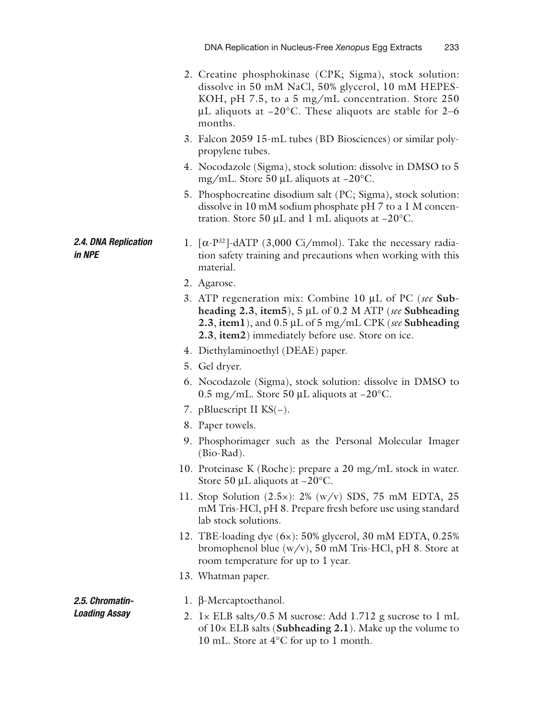- 2. Creatine phosphokinase (CPK; Sigma), stock solution: dissolve in 50 mM NaCl, 50% glycerol, 10 mM HEPES-KOH, pH 7.5, to a 5 mg/mL concentration. Store 250 μL aliquots at −20°C. These aliquots are stable for 2–6 months.
- 3. Falcon 2059 15-mL tubes (BD Biosciences) or similar polypropylene tubes.
- 4. Nocodazole (Sigma), stock solution: dissolve in DMSO to 5 mg/mL. Store 50 μL aliquots at −20°C.
- 5. Phosphocreatine disodium salt (PC; Sigma), stock solution: dissolve in 10 mM sodium phosphate pH 7 to a 1 M concentration. Store 50 μL and 1 mL aliquots at −20°C.
- 1.  $\lceil \alpha P^{32} \rceil$ -dATP (3,000 Ci/mmol). Take the necessary radiation safety training and precautions when working with this material.
- 2. Agarose.
- 3. ATP regeneration mix: Combine 10 μL of PC ( *see* **Subheading 2.3**, **item5**), 5 μL of 0.2 M ATP ( *see* **Subheading 2.3**, **item1**), and 0.5 μL of 5 mg/mL CPK ( *see* **Subheading 2.3**, **item2**) immediately before use. Store on ice.
- 4. Diethylaminoethyl (DEAE) paper.
- 5. Gel dryer.
- 6. Nocodazole (Sigma), stock solution: dissolve in DMSO to 0.5 mg/mL. Store 50 μL aliquots at −20°C.
- 7. pBluescript II KS(−).
- 8. Paper towels.
- 9. Phosphorimager such as the Personal Molecular Imager (Bio-Rad).
- 10. Proteinase K (Roche): prepare a 20 mg/mL stock in water. Store 50 μL aliquots at −20°C.
- 11. Stop Solution (2.5×): 2% (w/v) SDS, 75 mM EDTA, 25 mM Tris-HCl, pH 8. Prepare fresh before use using standard lab stock solutions.
- 12. TBE-loading dye (6×): 50% glycerol, 30 mM EDTA, 0.25% bromophenol blue (w/v), 50 mM Tris-HCl, pH 8. Store at room temperature for up to 1 year.
- 13. Whatman paper.

 *2.5. Chromatin-Loading Assay* 

 *2.4. DNA Replication* 

*in NPE* 

- 1. β-Mercaptoethanol.
- 2. 1× ELB salts/0.5 M sucrose: Add 1.712 g sucrose to 1 mL of 10× ELB salts ( **Subheading 2.1**). Make up the volume to 10 mL. Store at 4°C for up to 1 month.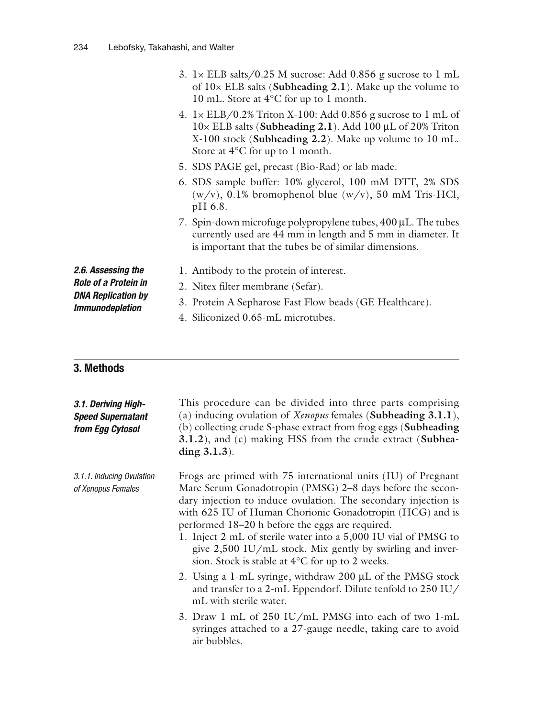| 3. $1 \times$ ELB salts/0.25 M sucrose: Add 0.856 g sucrose to 1 mL      |
|--------------------------------------------------------------------------|
| of $10\times$ ELB salts ( <b>Subheading 2.1</b> ). Make up the volume to |
| 10 mL. Store at $4^{\circ}$ C for up to 1 month.                         |

- 4. 1× ELB/0.2% Triton X-100: Add 0.856 g sucrose to 1 mL of 10× ELB salts ( **Subheading 2.1**). Add 100 μL of 20% Triton X-100 stock ( **Subheading 2.2**). Make up volume to 10 mL. Store at 4°C for up to 1 month.
- 5. SDS PAGE gel, precast (Bio-Rad) or lab made.
- 6. SDS sample buffer: 10% glycerol, 100 mM DTT, 2% SDS  $(w/v)$ , 0.1% bromophenol blue  $(w/v)$ , 50 mM Tris-HCl, pH 6.8.
- 7. Spin-down microfuge polypropylene tubes, 400 μL. The tubes currently used are 44 mm in length and 5 mm in diameter. It is important that the tubes be of similar dimensions.

 *2.6. Assessing the Role of a Protein in DNA Replication by Immunodepletion* 

- 1. Antibody to the protein of interest.
- 2. Nitex filter membrane (Sefar).
- 
- 3. Protein A Sepharose Fast Flow beads (GE Healthcare).
- 4. Siliconized 0.65-mL microtubes.

### **3. Methods**

| 3.1. Deriving High-<br><b>Speed Supernatant</b><br>from Egg Cytosol | This procedure can be divided into three parts comprising<br>(a) inducing ovulation of $Xenopus$ females ( <b>Subheading 3.1.1</b> ),<br>(b) collecting crude S-phase extract from frog eggs (Subheading<br>3.1.2), and (c) making HSS from the crude extract (Subhea-<br>ding $3.1.3$ ).                                                                                                                                                                                                        |
|---------------------------------------------------------------------|--------------------------------------------------------------------------------------------------------------------------------------------------------------------------------------------------------------------------------------------------------------------------------------------------------------------------------------------------------------------------------------------------------------------------------------------------------------------------------------------------|
| 3.1.1. Inducing Ovulation<br>of Xenopus Females                     | Frogs are primed with 75 international units (IU) of Pregnant<br>Mare Serum Gonadotropin (PMSG) 2-8 days before the secon-<br>dary injection to induce ovulation. The secondary injection is<br>with 625 IU of Human Chorionic Gonadotropin (HCG) and is<br>performed 18–20 h before the eggs are required.<br>1. Inject 2 mL of sterile water into a 5,000 IU vial of PMSG to<br>give $2,500$ IU/mL stock. Mix gently by swirling and inver-<br>sion. Stock is stable at 4°C for up to 2 weeks. |
|                                                                     | 2. Using a 1-mL syringe, withdraw 200 µL of the PMSG stock<br>and transfer to a 2-mL Eppendorf. Dilute tenfold to 250 IU/<br>mL with sterile water.                                                                                                                                                                                                                                                                                                                                              |
|                                                                     | 3. Draw 1 mL of 250 IU/mL PMSG into each of two 1-mL<br>syringes attached to a 27-gauge needle, taking care to avoid<br>air bubbles.                                                                                                                                                                                                                                                                                                                                                             |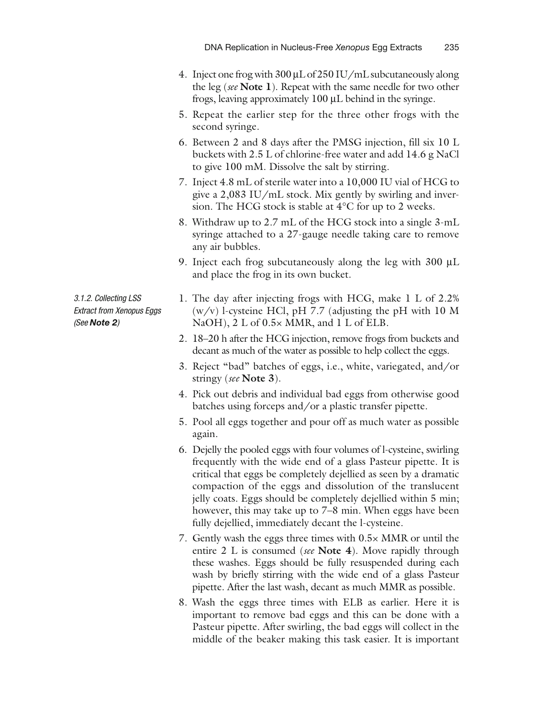- 4. Inject one frog with 300 μL of 250 IU/mL subcutaneously along the leg ( *see* **Note 1**). Repeat with the same needle for two other frogs, leaving approximately 100 μL behind in the syringe.
- 5. Repeat the earlier step for the three other frogs with the second syringe.
- 6. Between 2 and 8 days after the PMSG injection, fill six 10 L buckets with 2.5 L of chlorine-free water and add 14.6 g NaCl to give 100 mM. Dissolve the salt by stirring.
- 7. Inject 4.8 mL of sterile water into a 10,000 IU vial of HCG to give a 2,083 IU/mL stock. Mix gently by swirling and inversion. The HCG stock is stable at 4°C for up to 2 weeks.
- 8. Withdraw up to 2.7 mL of the HCG stock into a single 3-mL syringe attached to a 27-gauge needle taking care to remove any air bubbles.
- 9. Inject each frog subcutaneously along the leg with 300 μL and place the frog in its own bucket.

 *3.1.2. Collecting LSS Extract from Xenopus Eggs ( See Note 2 )* 

- 1. The day after injecting frogs with HCG, make 1 L of 2.2%  $(w/v)$  l-cysteine HCl, pH 7.7 (adjusting the pH with 10 M NaOH), 2 L of 0.5× MMR, and 1 L of ELB.
- 2. 18–20 h after the HCG injection, remove frogs from buckets and decant as much of the water as possible to help collect the eggs.
- 3. Reject "bad" batches of eggs, i.e., white, variegated, and/or stringy ( *see* **Note 3**).
- 4. Pick out debris and individual bad eggs from otherwise good batches using forceps and/or a plastic transfer pipette.
- 5. Pool all eggs together and pour off as much water as possible again.
- 6. Dejelly the pooled eggs with four volumes of l -cysteine, swirling frequently with the wide end of a glass Pasteur pipette. It is critical that eggs be completely dejellied as seen by a dramatic compaction of the eggs and dissolution of the translucent jelly coats. Eggs should be completely dejellied within 5 min; however, this may take up to 7–8 min. When eggs have been fully dejellied, immediately decant the *l*-cysteine.
- 7. Gently wash the eggs three times with 0.5× MMR or until the entire 2 L is consumed ( *see* **Note 4**). Move rapidly through these washes. Eggs should be fully resuspended during each wash by briefly stirring with the wide end of a glass Pasteur pipette. After the last wash, decant as much MMR as possible.
- 8. Wash the eggs three times with ELB as earlier. Here it is important to remove bad eggs and this can be done with a Pasteur pipette. After swirling, the bad eggs will collect in the middle of the beaker making this task easier. It is important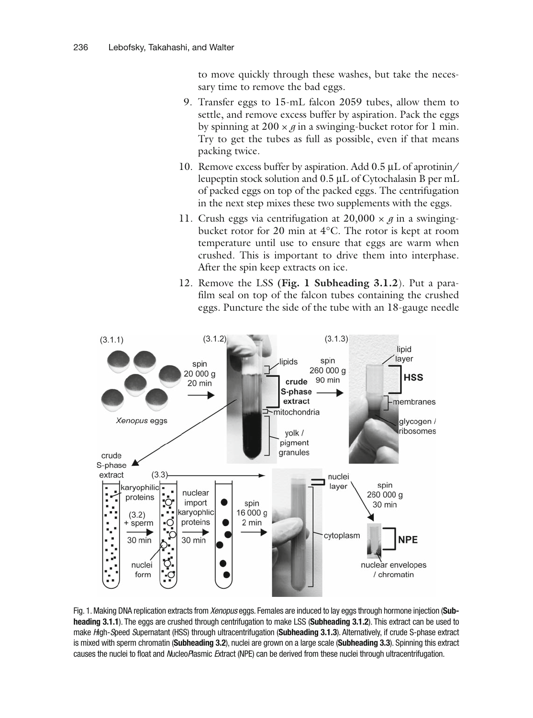to move quickly through these washes, but take the necessary time to remove the bad eggs.

- 9. Transfer eggs to 15-mL falcon 2059 tubes, allow them to settle, and remove excess buffer by aspiration. Pack the eggs by spinning at  $200 \times g$  in a swinging-bucket rotor for 1 min. Try to get the tubes as full as possible, even if that means packing twice.
- 10. Remove excess buffer by aspiration. Add 0.5 μL of aprotinin/ leupeptin stock solution and 0.5 μL of Cytochalasin B per mL of packed eggs on top of the packed eggs. The centrifugation in the next step mixes these two supplements with the eggs.
- 11. Crush eggs via centrifugation at  $20,000 \times g$  in a swingingbucket rotor for 20 min at 4°C. The rotor is kept at room temperature until use to ensure that eggs are warm when crushed. This is important to drive them into interphase. After the spin keep extracts on ice.
- 12. Remove the LSS **(Fig. 1 Subheading 3.1.2**). Put a parafilm seal on top of the falcon tubes containing the crushed eggs. Puncture the side of the tube with an 18-gauge needle



 Fig. 1. Making DNA replication extracts from *Xenopus* eggs. Females are induced to lay eggs through hormone injection ( **Sub**heading 3.1.1). The eggs are crushed through centrifugation to make LSS (Subheading 3.1.2). This extract can be used to make *H* igh- *S* peed *S* upernatant (HSS) through ultracentrifugation ( **Subheading 3.1.3** ). Alternatively, if crude S-phase extract is mixed with sperm chromatin (**Subheading 3.2**), nuclei are grown on a large scale (Subheading 3.3). Spinning this extract causes the nuclei to float and *N*ucleo Plasmic Extract (NPE) can be derived from these nuclei through ultracentrifugation.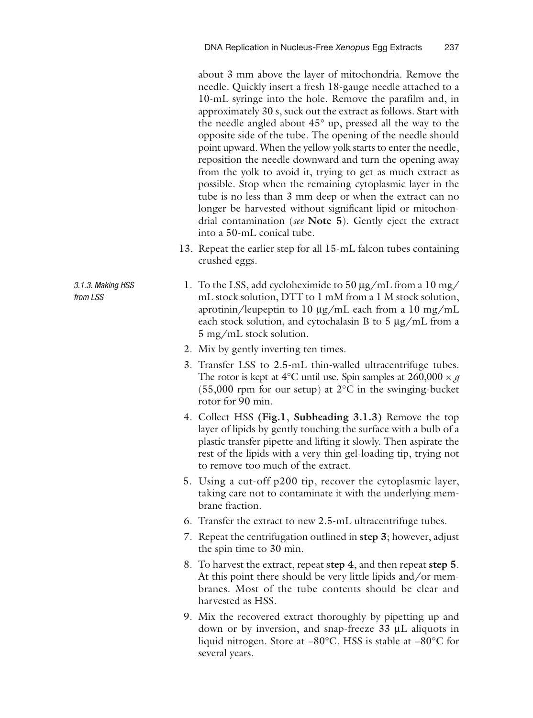about 3 mm above the layer of mitochondria. Remove the needle. Quickly insert a fresh 18-gauge needle attached to a 10-mL syringe into the hole. Remove the parafilm and, in approximately 30 s, suck out the extract as follows. Start with the needle angled about 45° up, pressed all the way to the opposite side of the tube. The opening of the needle should point upward. When the yellow yolk starts to enter the needle, reposition the needle downward and turn the opening away from the yolk to avoid it, trying to get as much extract as possible. Stop when the remaining cytoplasmic layer in the tube is no less than 3 mm deep or when the extract can no longer be harvested without significant lipid or mitochondrial contamination ( *see* **Note 5**). Gently eject the extract into a 50-mL conical tube.

- 13. Repeat the earlier step for all 15-mL falcon tubes containing crushed eggs.
- 1. To the LSS, add cycloheximide to 50 μg/mL from a 10 mg/ mL stock solution, DTT to 1 mM from a 1 M stock solution, aprotinin/leupeptin to 10 μg/mL each from a 10 mg/mL each stock solution, and cytochalasin B to 5 μg/mL from a 5 mg/mL stock solution.
- 2. Mix by gently inverting ten times.
- 3. Transfer LSS to 2.5-mL thin-walled ultracentrifuge tubes. The rotor is kept at  $4^{\circ}$ C until use. Spin samples at  $260,000 \times g$ (55,000 rpm for our setup) at 2°C in the swinging-bucket rotor for 90 min.
- 4. Collect HSS **(Fig.1**, **Subheading 3.1.3)** Remove the top layer of lipids by gently touching the surface with a bulb of a plastic transfer pipette and lifting it slowly. Then aspirate the rest of the lipids with a very thin gel-loading tip, trying not to remove too much of the extract.
- 5. Using a cut-off p200 tip, recover the cytoplasmic layer, taking care not to contaminate it with the underlying membrane fraction.
- 6. Transfer the extract to new 2.5-mL ultracentrifuge tubes.
- 7. Repeat the centrifugation outlined in **step 3**; however, adjust the spin time to 30 min.
- 8. To harvest the extract, repeat **step 4**, and then repeat **step 5**. At this point there should be very little lipids and/or membranes. Most of the tube contents should be clear and harvested as HSS.
- 9. Mix the recovered extract thoroughly by pipetting up and down or by inversion, and snap-freeze 33 μL aliquots in liquid nitrogen. Store at −80°C. HSS is stable at −80°C for several years.

 *3.1.3. Making HSS from LSS*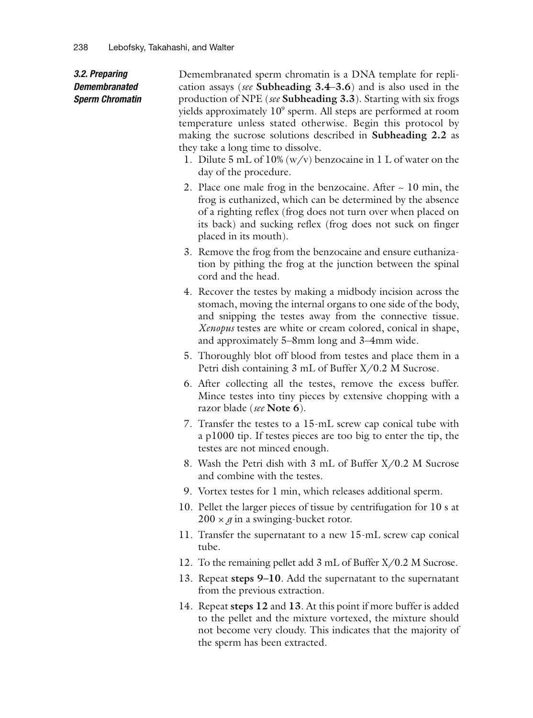#### *3.2. Preparing Demembranated Sperm Chromatin*

Demembranated sperm chromatin is a DNA template for replication assays ( *see* **Subheading 3.4**– **3.6**) and is also used in the production of NPE ( *see* **Subheading 3.3**). Starting with six frogs yields approximately 10<sup>9</sup> sperm. All steps are performed at room temperature unless stated otherwise. Begin this protocol by making the sucrose solutions described in **Subheading 2.2** as they take a long time to dissolve.

- 1. Dilute 5 mL of 10% (w/v) benzocaine in 1 L of water on the day of the procedure.
- 2. Place one male frog in the benzocaine. After  $\sim$  10 min, the frog is euthanized, which can be determined by the absence of a righting reflex (frog does not turn over when placed on its back) and sucking reflex (frog does not suck on finger placed in its mouth).
- 3. Remove the frog from the benzocaine and ensure euthanization by pithing the frog at the junction between the spinal cord and the head.
- 4. Recover the testes by making a midbody incision across the stomach, moving the internal organs to one side of the body, and snipping the testes away from the connective tissue. *Xenopus* testes are white or cream colored, conical in shape, and approximately 5–8mm long and 3–4mm wide.
- 5. Thoroughly blot off blood from testes and place them in a Petri dish containing 3 mL of Buffer X/0.2 M Sucrose.
- 6. After collecting all the testes, remove the excess buffer. Mince testes into tiny pieces by extensive chopping with a razor blade ( *see* **Note 6**).
- 7. Transfer the testes to a 15-mL screw cap conical tube with a p1000 tip. If testes pieces are too big to enter the tip, the testes are not minced enough.
- 8. Wash the Petri dish with 3 mL of Buffer X/0.2 M Sucrose and combine with the testes.
- 9. Vortex testes for 1 min, which releases additional sperm.
- 10. Pellet the larger pieces of tissue by centrifugation for 10 s at  $200 \times g$  in a swinging-bucket rotor.
- 11. Transfer the supernatant to a new 15-mL screw cap conical tube.
- 12. To the remaining pellet add 3 mL of Buffer X/0.2 M Sucrose.
- 13. Repeat **steps 9–10**. Add the supernatant to the supernatant from the previous extraction.
- 14. Repeat **steps 12** and **13**. At this point if more buffer is added to the pellet and the mixture vortexed, the mixture should not become very cloudy. This indicates that the majority of the sperm has been extracted.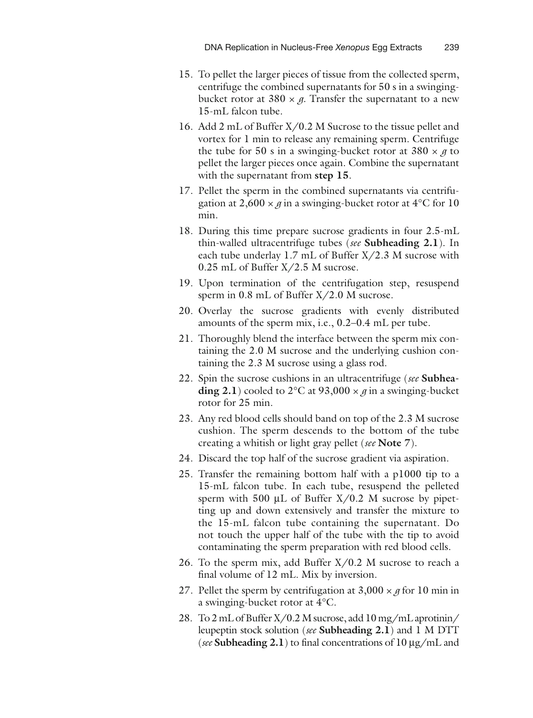- 15. To pellet the larger pieces of tissue from the collected sperm, centrifuge the combined supernatants for 50 s in a swingingbucket rotor at  $380 \times g$ . Transfer the supernatant to a new 15-mL falcon tube.
- 16. Add 2 mL of Buffer X/0.2 M Sucrose to the tissue pellet and vortex for 1 min to release any remaining sperm. Centrifuge the tube for 50 s in a swinging-bucket rotor at  $380 \times g$  to pellet the larger pieces once again. Combine the supernatant with the supernatant from **step 15**.
- 17. Pellet the sperm in the combined supernatants via centrifugation at  $2,600 \times g$  in a swinging-bucket rotor at  $4^{\circ}$ C for 10 min.
- 18. During this time prepare sucrose gradients in four 2.5-mL thin-walled ultracentrifuge tubes ( *see* **Subheading 2.1**). In each tube underlay 1.7 mL of Buffer X/2.3 M sucrose with 0.25 mL of Buffer X/2.5 M sucrose.
- 19. Upon termination of the centrifugation step, resuspend sperm in 0.8 mL of Buffer X/2.0 M sucrose.
- 20. Overlay the sucrose gradients with evenly distributed amounts of the sperm mix, i.e., 0.2–0.4 mL per tube.
- 21. Thoroughly blend the interface between the sperm mix containing the 2.0 M sucrose and the underlying cushion containing the 2.3 M sucrose using a glass rod.
- 22. Spin the sucrose cushions in an ultracentrifuge ( *see* **Subheading 2.1**) cooled to 2°C at 93,000  $\times$  *g* in a swinging-bucket rotor for 25 min.
- 23. Any red blood cells should band on top of the 2.3 M sucrose cushion. The sperm descends to the bottom of the tube creating a whitish or light gray pellet ( *see* **Note 7**).
- 24. Discard the top half of the sucrose gradient via aspiration.
- 25. Transfer the remaining bottom half with a p1000 tip to a 15-mL falcon tube. In each tube, resuspend the pelleted sperm with 500  $\mu$ L of Buffer X/0.2 M sucrose by pipetting up and down extensively and transfer the mixture to the 15-mL falcon tube containing the supernatant. Do not touch the upper half of the tube with the tip to avoid contaminating the sperm preparation with red blood cells.
- 26. To the sperm mix, add Buffer  $X/0.2$  M sucrose to reach a final volume of 12 mL. Mix by inversion.
- 27. Pellet the sperm by centrifugation at  $3,000 \times g$  for 10 min in a swinging-bucket rotor at 4°C.
- 28. To 2 mL of Buffer X/0.2 M sucrose, add 10 mg/mL aprotinin/ leupeptin stock solution ( *see* **Subheading 2.1**) and 1 M DTT ( *see* **Subheading 2.1**) to final concentrations of 10 μg/mL and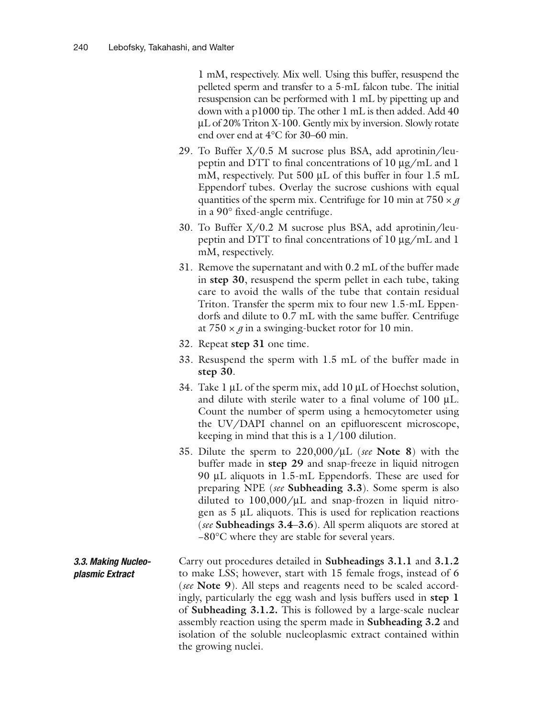1 mM, respectively. Mix well. Using this buffer, resuspend the pelleted sperm and transfer to a 5-mL falcon tube. The initial resuspension can be performed with 1 mL by pipetting up and down with a p1000 tip. The other 1 mL is then added. Add 40 μL of 20% Triton X-100. Gently mix by inversion. Slowly rotate end over end at 4°C for 30–60 min.

- 29. To Buffer X/0.5 M sucrose plus BSA, add aprotinin/leupeptin and DTT to final concentrations of 10 μg/mL and 1 mM, respectively. Put 500 μL of this buffer in four 1.5 mL Eppendorf tubes. Overlay the sucrose cushions with equal quantities of the sperm mix. Centrifuge for 10 min at  $750 \times g$ in a 90° fixed-angle centrifuge.
- 30. To Buffer X/0.2 M sucrose plus BSA, add aprotinin/leupeptin and DTT to final concentrations of 10 μg/mL and 1 mM, respectively.
- 31. Remove the supernatant and with 0.2 mL of the buffer made in **step 30**, resuspend the sperm pellet in each tube, taking care to avoid the walls of the tube that contain residual Triton. Transfer the sperm mix to four new 1.5-mL Eppendorfs and dilute to 0.7 mL with the same buffer. Centrifuge at  $750 \times g$  in a swinging-bucket rotor for 10 min.
- 32. Repeat **step 31** one time.
- 33. Resuspend the sperm with 1.5 mL of the buffer made in **step 30**.
- 34. Take 1 μL of the sperm mix, add 10 μL of Hoechst solution, and dilute with sterile water to a final volume of 100 μL. Count the number of sperm using a hemocytometer using the UV/DAPI channel on an epifluorescent microscope, keeping in mind that this is a 1/100 dilution.
- 35. Dilute the sperm to 220,000/ μL ( *see* **Note 8**) with the buffer made in **step 29** and snap-freeze in liquid nitrogen 90 μL aliquots in 1.5-mL Eppendorfs. These are used for preparing NPE ( *see* **Subheading 3.3**). Some sperm is also diluted to  $100,000/\mu L$  and snap-frozen in liquid nitrogen as 5 μL aliquots. This is used for replication reactions ( *see* **Subheadings 3.4**– **3.6**). All sperm aliquots are stored at −80°C where they are stable for several years.
- Carry out procedures detailed in **Subheadings 3.1.1** and **3.1.2** to make LSS; however, start with 15 female frogs, instead of 6 ( *see* **Note 9**). All steps and reagents need to be scaled accordingly, particularly the egg wash and lysis buffers used in **step 1** of **Subheading 3.1.2.** This is followed by a large-scale nuclear assembly reaction using the sperm made in **Subheading 3.2** and isolation of the soluble nucleoplasmic extract contained within the growing nuclei.  *3.3. Making Nucleoplasmic Extract*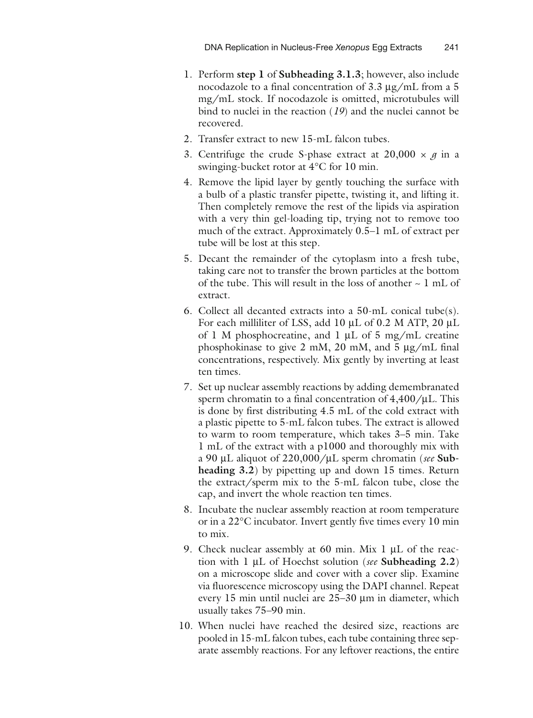- 1. Perform **step 1** of **Subheading 3.1.3**; however, also include nocodazole to a final concentration of 3.3 μg/mL from a 5 mg/mL stock. If nocodazole is omitted, microtubules will bind to nuclei in the reaction  $(19)$  and the nuclei cannot be recovered.
- 2. Transfer extract to new 15-mL falcon tubes.
- 3. Centrifuge the crude S-phase extract at  $20,000 \times g$  in a swinging-bucket rotor at 4°C for 10 min.
- 4. Remove the lipid layer by gently touching the surface with a bulb of a plastic transfer pipette, twisting it, and lifting it. Then completely remove the rest of the lipids via aspiration with a very thin gel-loading tip, trying not to remove too much of the extract. Approximately 0.5–1 mL of extract per tube will be lost at this step.
- 5. Decant the remainder of the cytoplasm into a fresh tube, taking care not to transfer the brown particles at the bottom of the tube. This will result in the loss of another  $\sim 1$  mL of extract.
- 6. Collect all decanted extracts into a 50-mL conical tube(s). For each milliliter of LSS, add 10 μL of 0.2 M ATP, 20 μL of 1 M phosphocreatine, and 1 μL of 5 mg/mL creatine phosphokinase to give 2 mM, 20 mM, and 5 μg/mL final concentrations, respectively. Mix gently by inverting at least ten times.
- 7. Set up nuclear assembly reactions by adding demembranated sperm chromatin to a final concentration of  $4,400/\mu L$ . This is done by first distributing 4.5 mL of the cold extract with a plastic pipette to 5-mL falcon tubes. The extract is allowed to warm to room temperature, which takes 3–5 min. Take 1 mL of the extract with a p1000 and thoroughly mix with a 90 μL aliquot of 220,000/ μL sperm chromatin ( *see* **Subheading 3.2**) by pipetting up and down 15 times. Return the extract/sperm mix to the 5-mL falcon tube, close the cap, and invert the whole reaction ten times.
- 8. Incubate the nuclear assembly reaction at room temperature or in a 22°C incubator. Invert gently five times every 10 min to mix.
- 9. Check nuclear assembly at 60 min. Mix 1 μL of the reaction with 1 μL of Hoechst solution ( *see* **Subheading 2.2**) on a microscope slide and cover with a cover slip. Examine via fluorescence microscopy using the DAPI channel. Repeat every 15 min until nuclei are 25–30 μm in diameter, which usually takes 75–90 min.
- 10. When nuclei have reached the desired size, reactions are pooled in 15-mL falcon tubes, each tube containing three separate assembly reactions. For any leftover reactions, the entire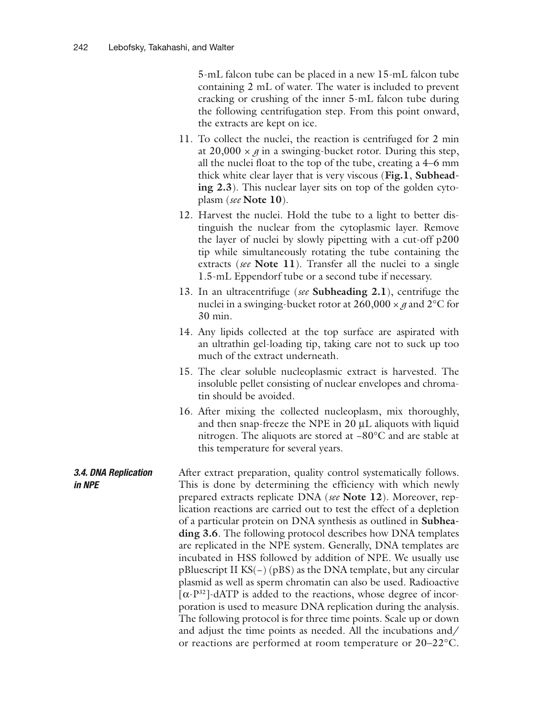5-mL falcon tube can be placed in a new 15-mL falcon tube containing 2 mL of water. The water is included to prevent cracking or crushing of the inner 5-mL falcon tube during the following centrifugation step. From this point onward, the extracts are kept on ice.

- 11. To collect the nuclei, the reaction is centrifuged for 2 min at  $20,000 \times g$  in a swinging-bucket rotor. During this step, all the nuclei float to the top of the tube, creating a 4–6 mm thick white clear layer that is very viscous ( **Fig.1**, **Subheading 2.3**). This nuclear layer sits on top of the golden cytoplasm ( *see* **Note 10**).
- 12. Harvest the nuclei. Hold the tube to a light to better distinguish the nuclear from the cytoplasmic layer. Remove the layer of nuclei by slowly pipetting with a cut-off p200 tip while simultaneously rotating the tube containing the extracts ( *see* **Note 11**). Transfer all the nuclei to a single 1.5-mL Eppendorf tube or a second tube if necessary.
- 13. In an ultracentrifuge ( *see* **Subheading 2.1**), centrifuge the nuclei in a swinging-bucket rotor at  $260,000 \times g$  and  $2^{\circ}$ C for 30 min.
- 14. Any lipids collected at the top surface are aspirated with an ultrathin gel-loading tip, taking care not to suck up too much of the extract underneath.
- 15. The clear soluble nucleoplasmic extract is harvested. The insoluble pellet consisting of nuclear envelopes and chromatin should be avoided.
- 16. After mixing the collected nucleoplasm, mix thoroughly, and then snap-freeze the NPE in 20 μL aliquots with liquid nitrogen. The aliquots are stored at −80°C and are stable at this temperature for several years.

After extract preparation, quality control systematically follows. This is done by determining the efficiency with which newly prepared extracts replicate DNA ( *see* **Note 12**). Moreover, replication reactions are carried out to test the effect of a depletion of a particular protein on DNA synthesis as outlined in **Subheading 3.6**. The following protocol describes how DNA templates are replicated in the NPE system. Generally, DNA templates are incubated in HSS followed by addition of NPE. We usually use pBluescript II KS(−) (pBS) as the DNA template, but any circular plasmid as well as sperm chromatin can also be used. Radioactive  $[\alpha-P^{32}]$ -dATP is added to the reactions, whose degree of incorporation is used to measure DNA replication during the analysis. The following protocol is for three time points. Scale up or down and adjust the time points as needed. All the incubations and/ or reactions are performed at room temperature or 20–22°C.  *3.4. DNA Replication in NPE*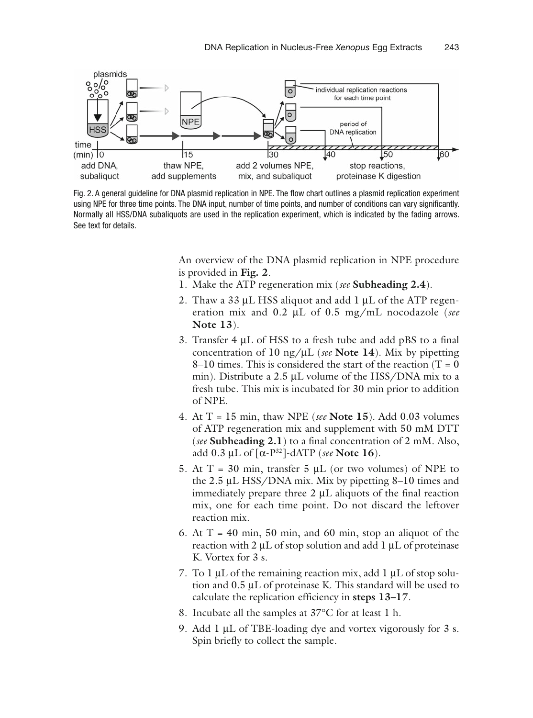

 Fig. 2. A general guideline for DNA plasmid replication in NPE. The flow chart outlines a plasmid replication experiment using NPE for three time points. The DNA input, number of time points, and number of conditions can vary significantly. Normally all HSS/DNA subaliquots are used in the replication experiment, which is indicated by the fading arrows. See text for details.

An overview of the DNA plasmid replication in NPE procedure is provided in **Fig. 2**.

- 1. Make the ATP regeneration mix ( *see* **Subheading 2.4**).
- 2. Thaw a 33 μL HSS aliquot and add 1 μL of the ATP regeneration mix and 0.2 μL of 0.5 mg/mL nocodazole ( *see*  **Note 13**).
- 3. Transfer 4 μL of HSS to a fresh tube and add pBS to a final concentration of 10 ng/ μL ( *see* **Note 14**). Mix by pipetting 8–10 times. This is considered the start of the reaction (T =  $0$ ) min). Distribute a 2.5 μL volume of the HSS/DNA mix to a fresh tube. This mix is incubated for 30 min prior to addition of NPE.
- 4. At T = 15 min, thaw NPE ( *see* **Note 15**). Add 0.03 volumes of ATP regeneration mix and supplement with 50 mM DTT ( *see* **Subheading 2.1**) to a final concentration of 2 mM. Also, add  $0.3 \mu L$  of  $\lceil \alpha - P^{32} \rceil$ -dATP (*see* **Note 16**).
- 5. At  $T = 30$  min, transfer 5  $\mu$ L (or two volumes) of NPE to the 2.5 μL HSS/DNA mix. Mix by pipetting 8–10 times and immediately prepare three 2 μL aliquots of the final reaction mix, one for each time point. Do not discard the leftover reaction mix.
- 6. At  $T = 40$  min, 50 min, and 60 min, stop an aliquot of the reaction with 2 μL of stop solution and add 1 μL of proteinase K. Vortex for 3 s.
- 7. To 1 μL of the remaining reaction mix, add 1 μL of stop solution and 0.5 μL of proteinase K. This standard will be used to calculate the replication efficiency in **steps 13–17**.
- 8. Incubate all the samples at 37°C for at least 1 h.
- 9. Add 1 μL of TBE-loading dye and vortex vigorously for 3 s. Spin briefly to collect the sample.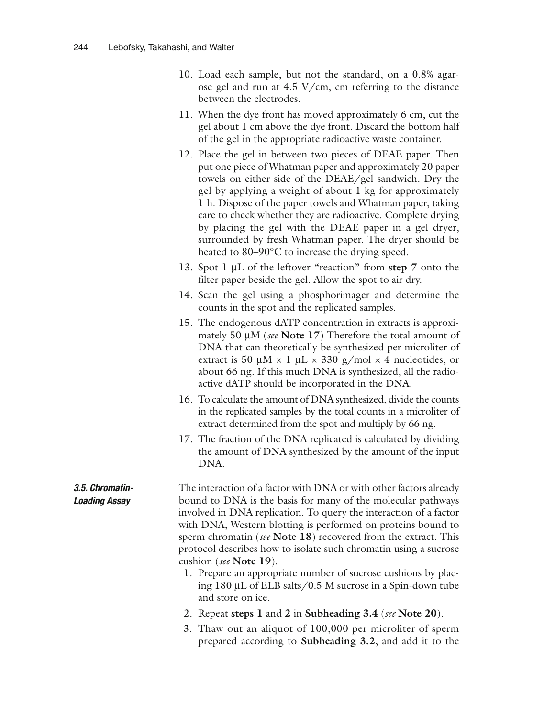- 10. Load each sample, but not the standard, on a 0.8% agarose gel and run at 4.5 V/cm, cm referring to the distance between the electrodes.
- 11. When the dye front has moved approximately 6 cm, cut the gel about 1 cm above the dye front. Discard the bottom half of the gel in the appropriate radioactive waste container.
- 12. Place the gel in between two pieces of DEAE paper. Then put one piece of Whatman paper and approximately 20 paper towels on either side of the DEAE/gel sandwich. Dry the gel by applying a weight of about 1 kg for approximately 1 h. Dispose of the paper towels and Whatman paper, taking care to check whether they are radioactive. Complete drying by placing the gel with the DEAE paper in a gel dryer, surrounded by fresh Whatman paper. The dryer should be heated to 80–90°C to increase the drying speed.
- 13. Spot 1 μL of the leftover "reaction" from **step 7** onto the filter paper beside the gel. Allow the spot to air dry.
- 14. Scan the gel using a phosphorimager and determine the counts in the spot and the replicated samples.
- 15. The endogenous dATP concentration in extracts is approximately 50 μM ( *see* **Note 17**) Therefore the total amount of DNA that can theoretically be synthesized per microliter of extract is 50  $\mu$ M × 1  $\mu$ L × 330 g/mol × 4 nucleotides, or about 66 ng. If this much DNA is synthesized, all the radioactive dATP should be incorporated in the DNA.
- 16. To calculate the amount of DNA synthesized, divide the counts in the replicated samples by the total counts in a microliter of extract determined from the spot and multiply by 66 ng.
- 17. The fraction of the DNA replicated is calculated by dividing the amount of DNA synthesized by the amount of the input DNA.
- The interaction of a factor with DNA or with other factors already bound to DNA is the basis for many of the molecular pathways involved in DNA replication. To query the interaction of a factor with DNA, Western blotting is performed on proteins bound to sperm chromatin ( *see* **Note 18**) recovered from the extract. This protocol describes how to isolate such chromatin using a sucrose cushion ( *see* **Note 19**).  *3.5. Chromatin-Loading Assay* 
	- 1. Prepare an appropriate number of sucrose cushions by placing 180 μL of ELB salts/0.5 M sucrose in a Spin-down tube and store on ice.
	- 2. Repeat **steps 1** and **2** in **Subheading 3.4** ( *see* **Note 20**).
	- 3. Thaw out an aliquot of 100,000 per microliter of sperm prepared according to **Subheading 3.2**, and add it to the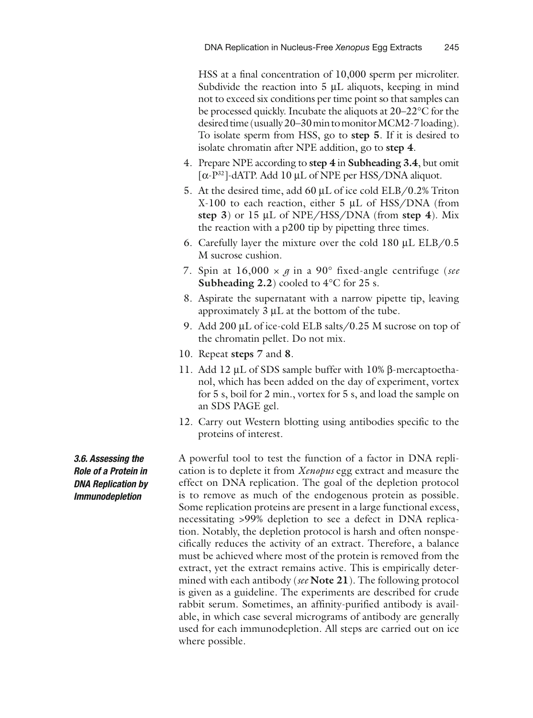HSS at a final concentration of 10,000 sperm per microliter. Subdivide the reaction into  $5 \mu L$  aliquots, keeping in mind not to exceed six conditions per time point so that samples can be processed quickly. Incubate the aliquots at 20–22°C for the desired time (usually 20–30 min to monitor MCM2-7 loading). To isolate sperm from HSS, go to **step 5**. If it is desired to isolate chromatin after NPE addition, go to **step 4**.

- 4. Prepare NPE according to **step 4** in **Subheading 3.4**, but omit [α-P<sup>32</sup>]-dATP. Add 10 μL of NPE per HSS/DNA aliquot.
- 5. At the desired time, add 60 μL of ice cold ELB/0.2% Triton X-100 to each reaction, either 5 μL of HSS/DNA (from **step 3**) or 15 μL of NPE/HSS/DNA (from **step 4**). Mix the reaction with a p200 tip by pipetting three times.
- 6. Carefully layer the mixture over the cold 180 μL ELB/0.5 M sucrose cushion.
- 7. Spin at  $16,000 \times g$  in a 90° fixed-angle centrifuge (see **Subheading 2.2**) cooled to 4°C for 25 s.
- 8. Aspirate the supernatant with a narrow pipette tip, leaving approximately 3 μL at the bottom of the tube.
- 9. Add 200 μL of ice-cold ELB salts/0.25 M sucrose on top of the chromatin pellet. Do not mix.
- 10. Repeat **steps 7** and **8**.
- 11. Add 12 μL of SDS sample buffer with 10% β-mercaptoethanol, which has been added on the day of experiment, vortex for 5 s, boil for 2 min., vortex for 5 s, and load the sample on an SDS PAGE gel.
- 12. Carry out Western blotting using antibodies specific to the proteins of interest.

A powerful tool to test the function of a factor in DNA replication is to deplete it from *Xenopus* egg extract and measure the effect on DNA replication. The goal of the depletion protocol is to remove as much of the endogenous protein as possible. Some replication proteins are present in a large functional excess, necessitating >99% depletion to see a defect in DNA replication. Notably, the depletion protocol is harsh and often nonspecifically reduces the activity of an extract. Therefore, a balance must be achieved where most of the protein is removed from the extract, yet the extract remains active. This is empirically determined with each antibody ( *see* **Note 21**). The following protocol is given as a guideline. The experiments are described for crude rabbit serum. Sometimes, an affinity-purified antibody is available, in which case several micrograms of antibody are generally used for each immunodepletion. All steps are carried out on ice where possible.

 *3.6. Assessing the Role of a Protein in DNA Replication by Immunodepletion*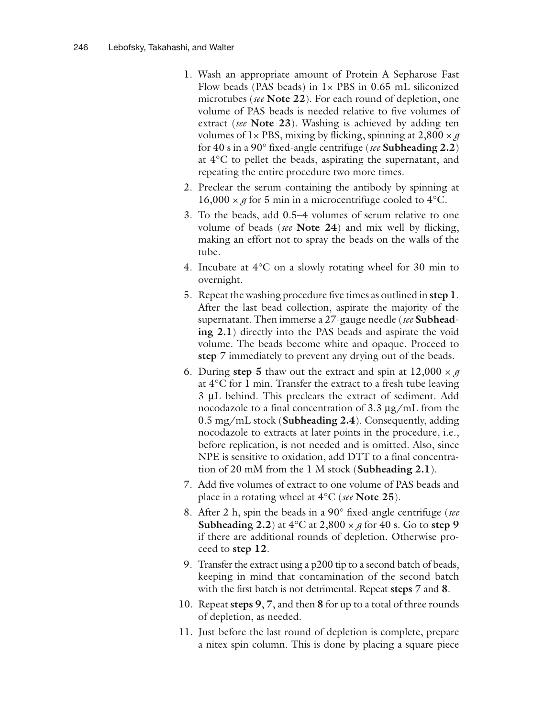- 1. Wash an appropriate amount of Protein A Sepharose Fast Flow beads (PAS beads) in  $1 \times$  PBS in 0.65 mL siliconized microtubes ( *see* **Note 22**). For each round of depletion, one volume of PAS beads is needed relative to five volumes of extract ( *see* **Note 23**). Washing is achieved by adding ten volumes of  $1 \times PBS$ , mixing by flicking, spinning at  $2,800 \times g$ for 40 s in a 90° fixed-angle centrifuge ( *see* **Subheading 2.2**) at 4°C to pellet the beads, aspirating the supernatant, and repeating the entire procedure two more times.
- 2. Preclear the serum containing the antibody by spinning at 16,000  $\times$  *g* for 5 min in a microcentrifuge cooled to 4°C.
- 3. To the beads, add 0.5–4 volumes of serum relative to one volume of beads ( *see* **Note 24**) and mix well by flicking, making an effort not to spray the beads on the walls of the tube.
- 4. Incubate at 4°C on a slowly rotating wheel for 30 min to overnight.
- 5. Repeat the washing procedure five times as outlined in **step 1**. After the last bead collection, aspirate the majority of the supernatant. Then immerse a 27-gauge needle ( *see* **Subheading 2.1**) directly into the PAS beads and aspirate the void volume. The beads become white and opaque. Proceed to **step 7** immediately to prevent any drying out of the beads.
- 6. During **step 5** thaw out the extract and spin at  $12,000 \times g$ at 4°C for 1 min. Transfer the extract to a fresh tube leaving 3 μL behind. This preclears the extract of sediment. Add nocodazole to a final concentration of 3.3 μg/mL from the 0.5 mg/mL stock ( **Subheading 2.4**). Consequently, adding nocodazole to extracts at later points in the procedure, i.e., before replication, is not needed and is omitted. Also, since NPE is sensitive to oxidation, add DTT to a final concentration of 20 mM from the 1 M stock ( **Subheading 2.1**).
- 7. Add five volumes of extract to one volume of PAS beads and place in a rotating wheel at 4°C ( *see* **Note 25**).
- 8. After 2 h, spin the beads in a 90° fixed-angle centrifuge ( *see*  **Subheading 2.2**) at  $4^{\circ}$ C at  $2,800 \times g$  for 40 s. Go to step 9 if there are additional rounds of depletion. Otherwise proceed to **step 12**.
- 9. Transfer the extract using a p200 tip to a second batch of beads, keeping in mind that contamination of the second batch with the first batch is not detrimental. Repeat **steps 7** and **8**.
- 10. Repeat **steps 9**, **7**, and then **8** for up to a total of three rounds of depletion, as needed.
- 11. Just before the last round of depletion is complete, prepare a nitex spin column. This is done by placing a square piece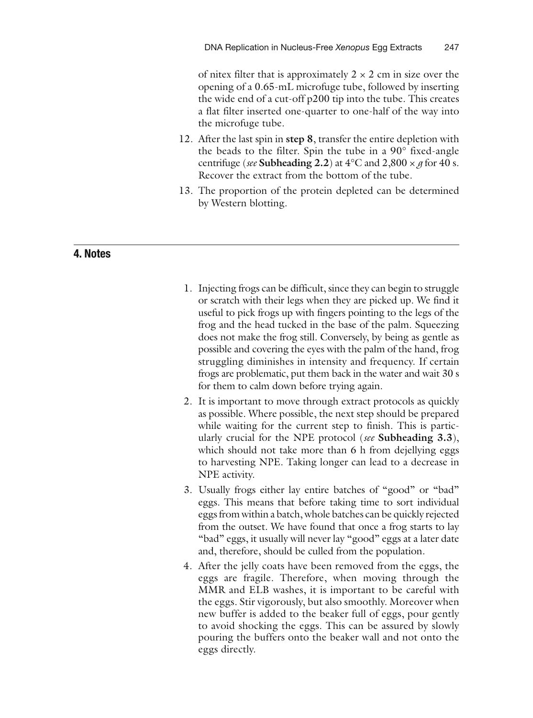of nitex filter that is approximately  $2 \times 2$  cm in size over the opening of a 0.65-mL microfuge tube, followed by inserting the wide end of a cut-off p200 tip into the tube. This creates a flat filter inserted one-quarter to one-half of the way into the microfuge tube.

- 12. After the last spin in **step 8**, transfer the entire depletion with the beads to the filter. Spin the tube in a 90° fixed-angle centrifuge (*see* Subheading 2.2) at  $4^{\circ}$ C and  $2,800 \times g$  for 40 s. Recover the extract from the bottom of the tube.
- 13. The proportion of the protein depleted can be determined by Western blotting.

### **4. Notes**

- 1. Injecting frogs can be difficult, since they can begin to struggle or scratch with their legs when they are picked up. We find it useful to pick frogs up with fingers pointing to the legs of the frog and the head tucked in the base of the palm. Squeezing does not make the frog still. Conversely, by being as gentle as possible and covering the eyes with the palm of the hand, frog struggling diminishes in intensity and frequency. If certain frogs are problematic, put them back in the water and wait 30 s for them to calm down before trying again.
- 2. It is important to move through extract protocols as quickly as possible. Where possible, the next step should be prepared while waiting for the current step to finish. This is particularly crucial for the NPE protocol ( *see* **Subheading 3.3**), which should not take more than 6 h from dejellying eggs to harvesting NPE. Taking longer can lead to a decrease in NPE activity.
- 3. Usually frogs either lay entire batches of "good" or "bad" eggs. This means that before taking time to sort individual eggs from within a batch, whole batches can be quickly rejected from the outset. We have found that once a frog starts to lay "bad" eggs, it usually will never lay "good" eggs at a later date and, therefore, should be culled from the population.
- 4. After the jelly coats have been removed from the eggs, the eggs are fragile. Therefore, when moving through the MMR and ELB washes, it is important to be careful with the eggs. Stir vigorously, but also smoothly. Moreover when new buffer is added to the beaker full of eggs, pour gently to avoid shocking the eggs. This can be assured by slowly pouring the buffers onto the beaker wall and not onto the eggs directly.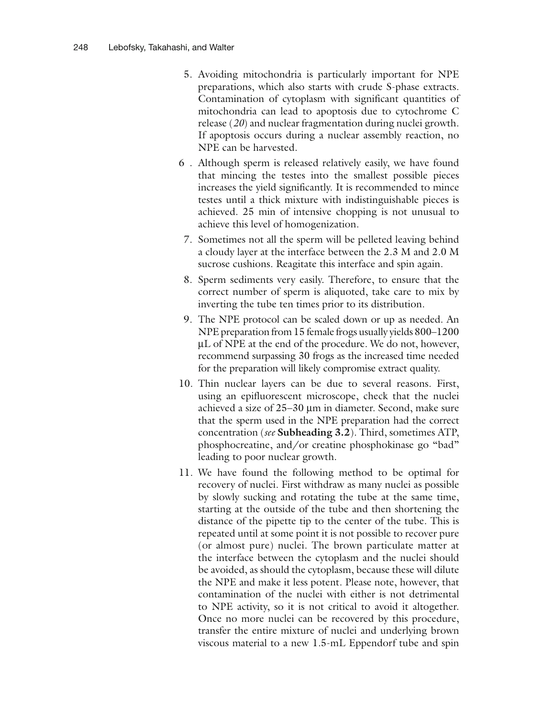- 5. Avoiding mitochondria is particularly important for NPE preparations, which also starts with crude S-phase extracts. Contamination of cytoplasm with significant quantities of mitochondria can lead to apoptosis due to cytochrome C release (20) and nuclear fragmentation during nuclei growth. If apoptosis occurs during a nuclear assembly reaction, no NPE can be harvested.
- 6 . Although sperm is released relatively easily, we have found that mincing the testes into the smallest possible pieces increases the yield significantly. It is recommended to mince testes until a thick mixture with indistinguishable pieces is achieved. 25 min of intensive chopping is not unusual to achieve this level of homogenization.
- 7. Sometimes not all the sperm will be pelleted leaving behind a cloudy layer at the interface between the 2.3 M and 2.0 M sucrose cushions. Reagitate this interface and spin again.
- 8. Sperm sediments very easily. Therefore, to ensure that the correct number of sperm is aliquoted, take care to mix by inverting the tube ten times prior to its distribution.
- 9. The NPE protocol can be scaled down or up as needed. An NPE preparation from 15 female frogs usually yields 800–1200 μL of NPE at the end of the procedure. We do not, however, recommend surpassing 30 frogs as the increased time needed for the preparation will likely compromise extract quality.
- 10. Thin nuclear layers can be due to several reasons. First, using an epifluorescent microscope, check that the nuclei achieved a size of 25–30 μm in diameter. Second, make sure that the sperm used in the NPE preparation had the correct concentration ( *see* **Subheading 3.2**). Third, sometimes ATP, phosphocreatine, and/or creatine phosphokinase go "bad" leading to poor nuclear growth.
- 11. We have found the following method to be optimal for recovery of nuclei. First withdraw as many nuclei as possible by slowly sucking and rotating the tube at the same time, starting at the outside of the tube and then shortening the distance of the pipette tip to the center of the tube. This is repeated until at some point it is not possible to recover pure (or almost pure) nuclei. The brown particulate matter at the interface between the cytoplasm and the nuclei should be avoided, as should the cytoplasm, because these will dilute the NPE and make it less potent. Please note, however, that contamination of the nuclei with either is not detrimental to NPE activity, so it is not critical to avoid it altogether. Once no more nuclei can be recovered by this procedure, transfer the entire mixture of nuclei and underlying brown viscous material to a new 1.5-mL Eppendorf tube and spin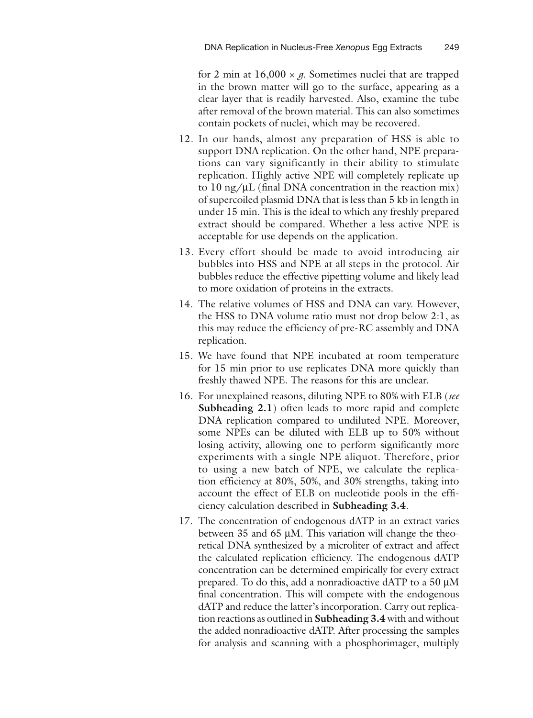for 2 min at  $16,000 \times g$ . Sometimes nuclei that are trapped in the brown matter will go to the surface, appearing as a clear layer that is readily harvested. Also, examine the tube after removal of the brown material. This can also sometimes contain pockets of nuclei, which may be recovered.

- 12. In our hands, almost any preparation of HSS is able to support DNA replication. On the other hand, NPE preparations can vary significantly in their ability to stimulate replication. Highly active NPE will completely replicate up to 10 ng/ $\mu$ L (final DNA concentration in the reaction mix) of supercoiled plasmid DNA that is less than 5 kb in length in under 15 min. This is the ideal to which any freshly prepared extract should be compared. Whether a less active NPE is acceptable for use depends on the application.
- 13. Every effort should be made to avoid introducing air bubbles into HSS and NPE at all steps in the protocol. Air bubbles reduce the effective pipetting volume and likely lead to more oxidation of proteins in the extracts.
- 14. The relative volumes of HSS and DNA can vary. However, the HSS to DNA volume ratio must not drop below 2:1, as this may reduce the efficiency of pre-RC assembly and DNA replication.
- 15. We have found that NPE incubated at room temperature for 15 min prior to use replicates DNA more quickly than freshly thawed NPE. The reasons for this are unclear.
- 16. For unexplained reasons, diluting NPE to 80% with ELB ( *see*  **Subheading 2.1**) often leads to more rapid and complete DNA replication compared to undiluted NPE. Moreover, some NPEs can be diluted with ELB up to 50% without losing activity, allowing one to perform significantly more experiments with a single NPE aliquot. Therefore, prior to using a new batch of NPE, we calculate the replication efficiency at 80%, 50%, and 30% strengths, taking into account the effect of ELB on nucleotide pools in the efficiency calculation described in **Subheading 3.4**.
- 17. The concentration of endogenous dATP in an extract varies between 35 and 65  $\mu$ M. This variation will change the theoretical DNA synthesized by a microliter of extract and affect the calculated replication efficiency. The endogenous dATP concentration can be determined empirically for every extract prepared. To do this, add a nonradioactive dATP to a 50 μM final concentration. This will compete with the endogenous dATP and reduce the latter's incorporation. Carry out replication reactions as outlined in **Subheading 3.4** with and without the added nonradioactive dATP. After processing the samples for analysis and scanning with a phosphorimager, multiply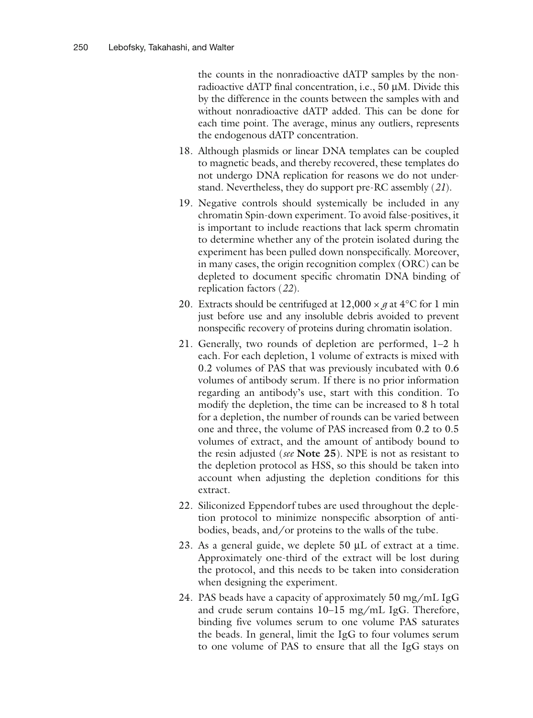the counts in the nonradioactive dATP samples by the nonradioactive dATP final concentration, i.e., 50 μM. Divide this by the difference in the counts between the samples with and without nonradioactive dATP added. This can be done for each time point. The average, minus any outliers, represents the endogenous dATP concentration.

- 18. Although plasmids or linear DNA templates can be coupled to magnetic beads, and thereby recovered, these templates do not undergo DNA replication for reasons we do not understand. Nevertheless, they do support pre-RC assembly ( *21*) .
- 19. Negative controls should systemically be included in any chromatin Spin-down experiment. To avoid false-positives, it is important to include reactions that lack sperm chromatin to determine whether any of the protein isolated during the experiment has been pulled down nonspecifically. Moreover, in many cases, the origin recognition complex (ORC) can be depleted to document specific chromatin DNA binding of replication factors ( *22*) .
- 20. Extracts should be centrifuged at  $12,000 \times g$  at  $4^{\circ}$ C for 1 min just before use and any insoluble debris avoided to prevent nonspecific recovery of proteins during chromatin isolation.
- 21. Generally, two rounds of depletion are performed, 1–2 h each. For each depletion, 1 volume of extracts is mixed with 0.2 volumes of PAS that was previously incubated with 0.6 volumes of antibody serum. If there is no prior information regarding an antibody's use, start with this condition. To modify the depletion, the time can be increased to 8 h total for a depletion, the number of rounds can be varied between one and three, the volume of PAS increased from 0.2 to 0.5 volumes of extract, and the amount of antibody bound to the resin adjusted ( *see* **Note 25**). NPE is not as resistant to the depletion protocol as HSS, so this should be taken into account when adjusting the depletion conditions for this extract.
- 22. Siliconized Eppendorf tubes are used throughout the depletion protocol to minimize nonspecific absorption of antibodies, beads, and/or proteins to the walls of the tube.
- 23. As a general guide, we deplete 50 μL of extract at a time. Approximately one-third of the extract will be lost during the protocol, and this needs to be taken into consideration when designing the experiment.
- 24. PAS beads have a capacity of approximately 50 mg/mL IgG and crude serum contains 10–15 mg/mL IgG. Therefore, binding five volumes serum to one volume PAS saturates the beads. In general, limit the IgG to four volumes serum to one volume of PAS to ensure that all the IgG stays on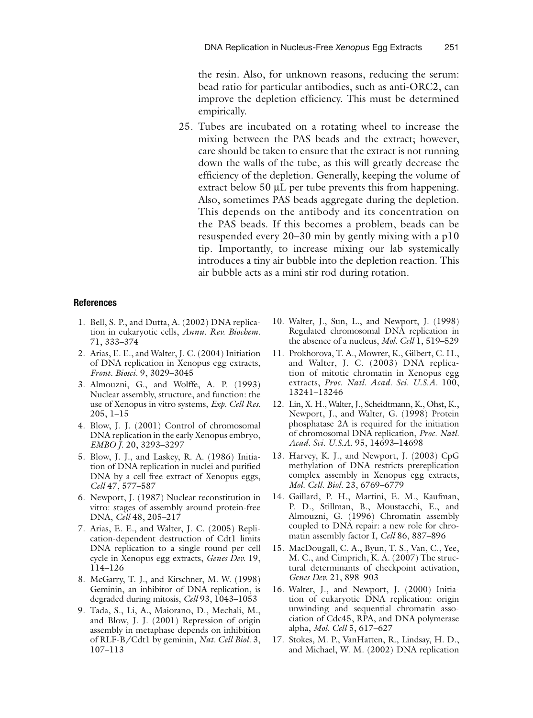the resin. Also, for unknown reasons, reducing the serum: bead ratio for particular antibodies, such as anti-ORC2, can improve the depletion efficiency. This must be determined empirically.

25. Tubes are incubated on a rotating wheel to increase the mixing between the PAS beads and the extract; however, care should be taken to ensure that the extract is not running down the walls of the tube, as this will greatly decrease the efficiency of the depletion. Generally, keeping the volume of extract below 50 μL per tube prevents this from happening. Also, sometimes PAS beads aggregate during the depletion. This depends on the antibody and its concentration on the PAS beads. If this becomes a problem, beads can be resuspended every 20–30 min by gently mixing with a p10 tip. Importantly, to increase mixing our lab systemically introduces a tiny air bubble into the depletion reaction. This air bubble acts as a mini stir rod during rotation.

#### **References**

- 1. Bell, S. P., and Dutta, A. (2002) DNA replication in eukaryotic cells, *Annu. Rev. Biochem.* 71 , 333 – 374
- 2. Arias, E. E., and Walter, J. C. (2004) Initiation of DNA replication in Xenopus egg extracts , *Front. Biosci.* 9, 3029-3045
- 3. Almouzni, G., and Wolffe, A. P. (1993) Nuclear assembly, structure, and function: the use of Xenopus in vitro systems, *Exp. Cell Res.*  $205, 1 - 15$
- 4. Blow, J. J. (2001) Control of chromosomal DNA replication in the early Xenopus embryo, *EMBO J.* 20, 3293-3297
- 5. Blow, J. J., and Laskey, R. A. (1986) Initiation of DNA replication in nuclei and purified DNA by a cell-free extract of Xenopus eggs, *Cell* 47 , 577 – 587
- 6. Newport, J. (1987) Nuclear reconstitution in vitro: stages of assembly around protein-free DNA, *Cell* 48, 205-217
- 7. Arias, E. E., and Walter, J. C. (2005) Replication-dependent destruction of Cdt1 limits DNA replication to a single round per cell cycle in Xenopus egg extracts, *Genes Dev.* 19, 114 – 126
- 8. McGarry, T. J., and Kirschner, M. W. (1998) Geminin, an inhibitor of DNA replication, is degraded during mitosis, *Cell* 93, 1043-1053
- 9. Tada, S., Li, A., Maiorano, D., Mechali, M., and Blow, J. J. (2001) Repression of origin assembly in metaphase depends on inhibition of RLF-B/Cdt1 by geminin, *Nat. Cell Biol.* 3, 107-113
- 10. Walter, J., Sun, L., and Newport, J. (1998) Regulated chromosomal DNA replication in the absence of a nucleus, *Mol. Cell* 1, 519-529
- 11. Prokhorova, T. A., Mowrer, K., Gilbert, C. H., and Walter, J. C. (2003) DNA replication of mitotic chromatin in Xenopus egg extracts, Proc. Natl. Acad. Sci. U.S.A. 100, 13241-13246
- 12. Lin, X. H., Walter, J., Scheidtmann, K., Ohst, K., Newport, J., and Walter, G. (1998) Protein phosphatase 2A is required for the initiation of chromosomal DNA replication, Proc. Natl. Acad. Sci. U.S.A. 95, 14693-14698
- 13. Harvey, K. J., and Newport, J. (2003) CpG methylation of DNA restricts prereplication complex assembly in Xenopus egg extracts, *Mol. Cell. Biol.* 23, 6769–6779
- 14. Gaillard, P. H., Martini, E. M., Kaufman, P. D., Stillman, B., Moustacchi, E., and Almouzni, G. (1996) Chromatin assembly coupled to DNA repair: a new role for chromatin assembly factor I, *Cell* 86, 887-896
- 15. MacDougall, C. A., Byun, T. S., Van, C., Yee, M. C., and Cimprich, K. A. (2007) The structural determinants of checkpoint activation, Genes Dev. 21, 898-903
- 16. Walter, J., and Newport, J. (2000) Initiation of eukaryotic DNA replication: origin unwinding and sequential chromatin association of Cdc45, RPA, and DNA polymerase alpha, *Mol. Cell* 5, 617–627
- 17. Stokes, M. P., VanHatten, R., Lindsay, H. D., and Michael, W. M. (2002) DNA replication